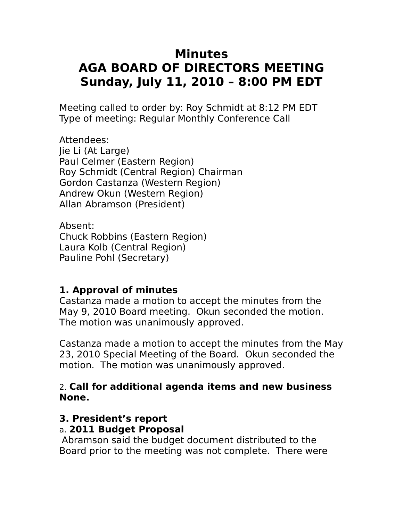# **Minutes AGA BOARD OF DIRECTORS MEETING Sunday, July 11, 2010 – 8:00 PM EDT**

Meeting called to order by: Roy Schmidt at 8:12 PM EDT Type of meeting: Regular Monthly Conference Call

Attendees: Jie Li (At Large) Paul Celmer (Eastern Region) Roy Schmidt (Central Region) Chairman Gordon Castanza (Western Region) Andrew Okun (Western Region) Allan Abramson (President)

Absent: Chuck Robbins (Eastern Region) Laura Kolb (Central Region) Pauline Pohl (Secretary)

## **1. Approval of minutes**

Castanza made a motion to accept the minutes from the May 9, 2010 Board meeting. Okun seconded the motion. The motion was unanimously approved.

Castanza made a motion to accept the minutes from the May 23, 2010 Special Meeting of the Board. Okun seconded the motion. The motion was unanimously approved.

#### 2. **Call for additional agenda items and new business None.**

## **3. President's report**

#### a. **2011 Budget Proposal**

Abramson said the budget document distributed to the Board prior to the meeting was not complete. There were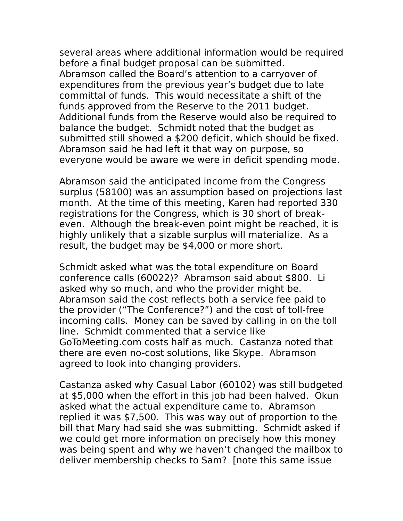several areas where additional information would be required before a final budget proposal can be submitted. Abramson called the Board's attention to a carryover of expenditures from the previous year's budget due to late committal of funds. This would necessitate a shift of the funds approved from the Reserve to the 2011 budget. Additional funds from the Reserve would also be required to balance the budget. Schmidt noted that the budget as submitted still showed a \$200 deficit, which should be fixed. Abramson said he had left it that way on purpose, so everyone would be aware we were in deficit spending mode.

Abramson said the anticipated income from the Congress surplus (58100) was an assumption based on projections last month. At the time of this meeting, Karen had reported 330 registrations for the Congress, which is 30 short of breakeven. Although the break-even point might be reached, it is highly unlikely that a sizable surplus will materialize. As a result, the budget may be \$4,000 or more short.

Schmidt asked what was the total expenditure on Board conference calls (60022)? Abramson said about \$800. Li asked why so much, and who the provider might be. Abramson said the cost reflects both a service fee paid to the provider ("The Conference?") and the cost of toll-free incoming calls. Money can be saved by calling in on the toll line. Schmidt commented that a service like GoToMeeting.com costs half as much. Castanza noted that there are even no-cost solutions, like Skype. Abramson agreed to look into changing providers.

Castanza asked why Casual Labor (60102) was still budgeted at \$5,000 when the effort in this job had been halved. Okun asked what the actual expenditure came to. Abramson replied it was \$7,500. This was way out of proportion to the bill that Mary had said she was submitting. Schmidt asked if we could get more information on precisely how this money was being spent and why we haven't changed the mailbox to deliver membership checks to Sam? [note this same issue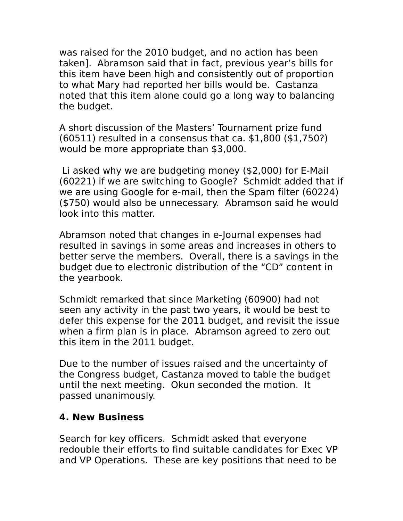was raised for the 2010 budget, and no action has been taken]. Abramson said that in fact, previous year's bills for this item have been high and consistently out of proportion to what Mary had reported her bills would be. Castanza noted that this item alone could go a long way to balancing the budget.

A short discussion of the Masters' Tournament prize fund (60511) resulted in a consensus that ca. \$1,800 (\$1,750?) would be more appropriate than \$3,000.

 Li asked why we are budgeting money (\$2,000) for E-Mail (60221) if we are switching to Google? Schmidt added that if we are using Google for e-mail, then the Spam filter (60224) (\$750) would also be unnecessary. Abramson said he would look into this matter.

Abramson noted that changes in e-Journal expenses had resulted in savings in some areas and increases in others to better serve the members. Overall, there is a savings in the budget due to electronic distribution of the "CD" content in the yearbook.

Schmidt remarked that since Marketing (60900) had not seen any activity in the past two years, it would be best to defer this expense for the 2011 budget, and revisit the issue when a firm plan is in place. Abramson agreed to zero out this item in the 2011 budget.

Due to the number of issues raised and the uncertainty of the Congress budget, Castanza moved to table the budget until the next meeting. Okun seconded the motion. It passed unanimously.

#### **4. New Business**

Search for key officers. Schmidt asked that everyone redouble their efforts to find suitable candidates for Exec VP and VP Operations. These are key positions that need to be